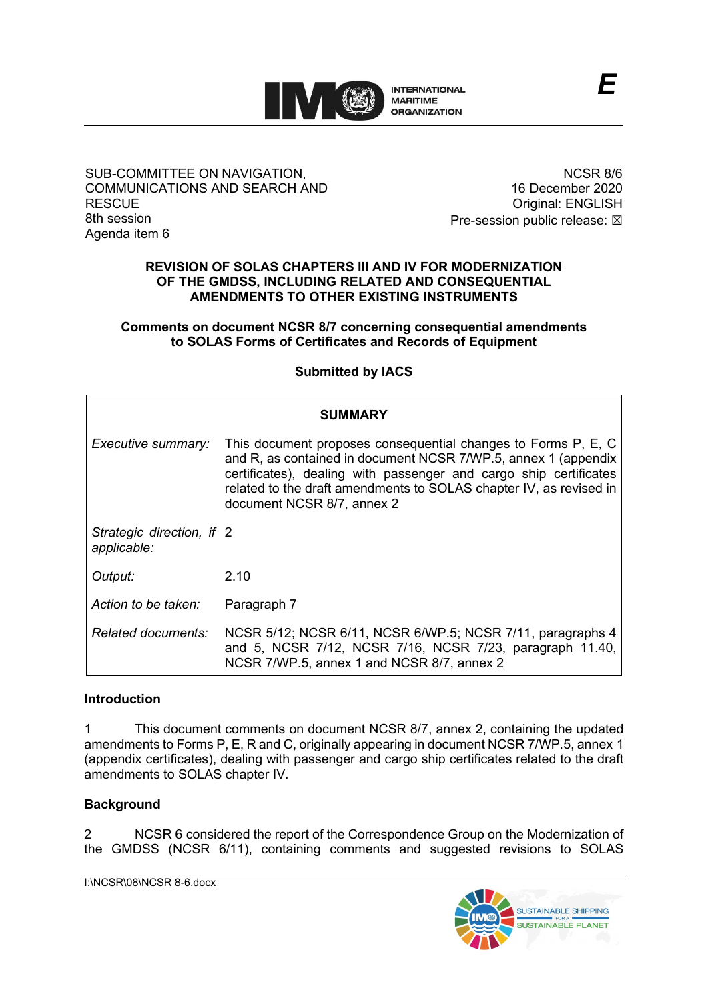

### SUB-COMMITTEE ON NAVIGATION, COMMUNICATIONS AND SEARCH AND **RESCUE** 8th session Agenda item 6

NCSR 8/6 16 December 2020 Original: ENGLISH Pre-session public release:  $\boxtimes$ 

## **REVISION OF SOLAS CHAPTERS III AND IV FOR MODERNIZATION OF THE GMDSS, INCLUDING RELATED AND CONSEQUENTIAL AMENDMENTS TO OTHER EXISTING INSTRUMENTS**

**Comments on document NCSR 8/7 concerning consequential amendments to SOLAS Forms of Certificates and Records of Equipment**

**Submitted by IACS**

| <b>SUMMARY</b>                           |                                                                                                                                                                                                                                                                                                          |
|------------------------------------------|----------------------------------------------------------------------------------------------------------------------------------------------------------------------------------------------------------------------------------------------------------------------------------------------------------|
| Executive summary:                       | This document proposes consequential changes to Forms P, E, C<br>and R, as contained in document NCSR 7/WP.5, annex 1 (appendix<br>certificates), dealing with passenger and cargo ship certificates<br>related to the draft amendments to SOLAS chapter IV, as revised in<br>document NCSR 8/7, annex 2 |
| Strategic direction, if 2<br>applicable: |                                                                                                                                                                                                                                                                                                          |
| Output:                                  | 2.10                                                                                                                                                                                                                                                                                                     |
| Action to be taken:                      | Paragraph 7                                                                                                                                                                                                                                                                                              |
| <i>Related documents:</i>                | NCSR 5/12; NCSR 6/11, NCSR 6/WP.5; NCSR 7/11, paragraphs 4<br>and 5, NCSR 7/12, NCSR 7/16, NCSR 7/23, paragraph 11.40,<br>NCSR 7/WP.5, annex 1 and NCSR 8/7, annex 2                                                                                                                                     |

## **Introduction**

1 This document comments on document NCSR 8/7, annex 2, containing the updated amendments to Forms P, E, R and C, originally appearing in document NCSR 7/WP.5, annex 1 (appendix certificates), dealing with passenger and cargo ship certificates related to the draft amendments to SOLAS chapter IV.

# **Background**

2 NCSR 6 considered the report of the Correspondence Group on the Modernization of the GMDSS (NCSR 6/11), containing comments and suggested revisions to SOLAS